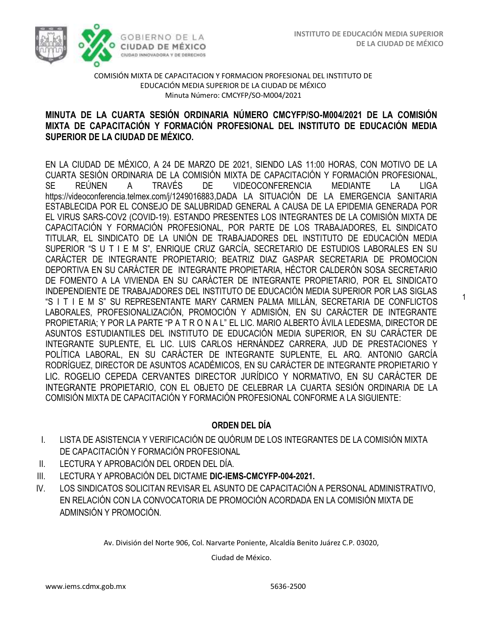1



### COMISIÓN MIXTA DE CAPACITACION Y FORMACION PROFESIONAL DEL INSTITUTO DE EDUCACIÓN MEDIA SUPERIOR DE LA CIUDAD DE MÉXICO Minuta Número: CMCYFP/SO-M004/2021

## **MINUTA DE LA CUARTA SESIÓN ORDINARIA NÚMERO CMCYFP/SO-M004/2021 DE LA COMISIÓN MIXTA DE CAPACITACIÓN Y FORMACIÓN PROFESIONAL DEL INSTITUTO DE EDUCACIÓN MEDIA SUPERIOR DE LA CIUDAD DE MÉXICO.**

EN LA CIUDAD DE MÉXICO, A 24 DE MARZO DE 2021, SIENDO LAS 11:00 HORAS, CON MOTIVO DE LA CUARTA SESIÓN ORDINARIA DE LA COMISIÓN MIXTA DE CAPACITACIÓN Y FORMACIÓN PROFESIONAL, SE REÚNEN A TRAVÉS DE VIDEOCONFERENCIA MEDIANTE LA LIGA https://videoconferencia.telmex.com/j/1249016883,DADA LA SITUACIÓN DE LA EMERGENCIA SANITARIA ESTABLECIDA POR EL CONSEJO DE SALUBRIDAD GENERAL A CAUSA DE LA EPIDEMIA GENERADA POR EL VIRUS SARS-COV2 (COVID-19). ESTANDO PRESENTES LOS INTEGRANTES DE LA COMISIÓN MIXTA DE CAPACITACIÓN Y FORMACIÓN PROFESIONAL, POR PARTE DE LOS TRABAJADORES, EL SINDICATO TITULAR, EL SINDICATO DE LA UNIÓN DE TRABAJADORES DEL INSTITUTO DE EDUCACIÓN MEDIA SUPERIOR "S U T I E M S", ENRIQUE CRUZ GARCÍA, SECRETARIO DE ESTUDIOS LABORALES EN SU CARÁCTER DE INTEGRANTE PROPIETARIO; BEATRIZ DIAZ GASPAR SECRETARIA DE PROMOCION DEPORTIVA EN SU CARÁCTER DE INTEGRANTE PROPIETARIA, HÉCTOR CALDERÓN SOSA SECRETARIO DE FOMENTO A LA VIVIENDA EN SU CARÁCTER DE INTEGRANTE PROPIETARIO, POR EL SINDICATO INDEPENDIENTE DE TRABAJADORES DEL INSTITUTO DE EDUCACIÓN MEDIA SUPERIOR POR LAS SIGLAS "S I T I E M S" SU REPRESENTANTE MARY CARMEN PALMA MILLÁN, SECRETARIA DE CONFLICTOS LABORALES, PROFESIONALIZACIÓN, PROMOCIÓN Y ADMISIÓN, EN SU CARÁCTER DE INTEGRANTE PROPIETARIA; Y POR LA PARTE "P A T R O N A L" EL LIC. MARIO ALBERTO ÁVILA LEDESMA, DIRECTOR DE ASUNTOS ESTUDIANTILES DEL INSTITUTO DE EDUCACIÓN MEDIA SUPERIOR, EN SU CARÁCTER DE INTEGRANTE SUPLENTE, EL LIC. LUIS CARLOS HERNÁNDEZ CARRERA, JUD DE PRESTACIONES Y POLÍTICA LABORAL, EN SU CARÁCTER DE INTEGRANTE SUPLENTE, EL ARQ. ANTONIO GARCÍA RODRÍGUEZ, DIRECTOR DE ASUNTOS ACADÉMICOS, EN SU CARÁCTER DE INTEGRANTE PROPIETARIO Y LIC. ROGELIO CEPEDA CERVANTES DIRECTOR JURÍDICO Y NORMATIVO, EN SU CARÁCTER DE INTEGRANTE PROPIETARIO, CON EL OBJETO DE CELEBRAR LA CUARTA SESIÓN ORDINARIA DE LA COMISIÓN MIXTA DE CAPACITACIÓN Y FORMACIÓN PROFESIONAL CONFORME A LA SIGUIENTE:

# **ORDEN DEL DÍA**

- I. LISTA DE ASISTENCIA Y VERIFICACIÓN DE QUÓRUM DE LOS INTEGRANTES DE LA COMISIÓN MIXTA DE CAPACITACIÓN Y FORMACIÓN PROFESIONAL
- II. LECTURA Y APROBACIÓN DEL ORDEN DEL DÍA.
- III. LECTURA Y APROBACIÓN DEL DICTAME **DIC-IEMS-CMCYFP-004-2021.**
- IV. LOS SINDICATOS SOLICITAN REVISAR EL ASUNTO DE CAPACITACIÓN A PERSONAL ADMINISTRATIVO, EN RELACIÓN CON LA CONVOCATORIA DE PROMOCIÓN ACORDADA EN LA COMISIÓN MIXTA DE ADMINSIÓN Y PROMOCIÓN.

Av. División del Norte 906, Col. Narvarte Poniente, Alcaldía Benito Juárez C.P. 03020,

Ciudad de México.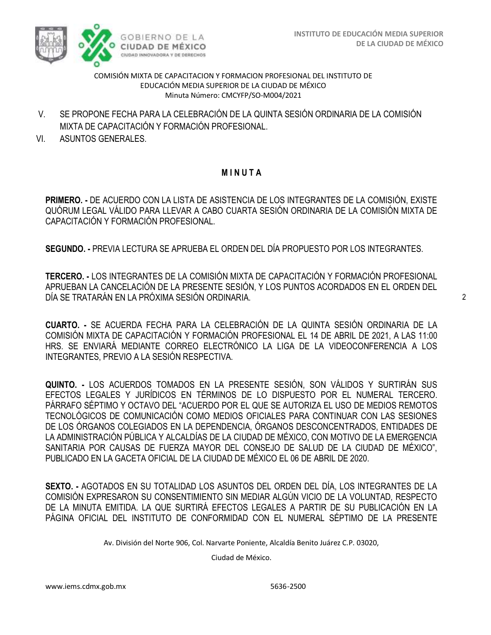

COMISIÓN MIXTA DE CAPACITACION Y FORMACION PROFESIONAL DEL INSTITUTO DE EDUCACIÓN MEDIA SUPERIOR DE LA CIUDAD DE MÉXICO Minuta Número: CMCYFP/SO-M004/2021

- V. SE PROPONE FECHA PARA LA CELEBRACIÓN DE LA QUINTA SESIÓN ORDINARIA DE LA COMISIÓN MIXTA DE CAPACITACIÓN Y FORMACIÓN PROFESIONAL.
- VI. ASUNTOS GENERALES.

# **M I N U T A**

**PRIMERO. -** DE ACUERDO CON LA LISTA DE ASISTENCIA DE LOS INTEGRANTES DE LA COMISIÓN, EXISTE QUÓRUM LEGAL VÁLIDO PARA LLEVAR A CABO CUARTA SESIÓN ORDINARIA DE LA COMISIÓN MIXTA DE CAPACITACIÓN Y FORMACIÓN PROFESIONAL.

**SEGUNDO. -** PREVIA LECTURA SE APRUEBA EL ORDEN DEL DÍA PROPUESTO POR LOS INTEGRANTES.

**TERCERO. -** LOS INTEGRANTES DE LA COMISIÓN MIXTA DE CAPACITACIÓN Y FORMACIÓN PROFESIONAL APRUEBAN LA CANCELACIÓN DE LA PRESENTE SESIÓN, Y LOS PUNTOS ACORDADOS EN EL ORDEN DEL DÍA SE TRATARÁN EN LA PRÓXIMA SESIÓN ORDINARIA.

**CUARTO. -** SE ACUERDA FECHA PARA LA CELEBRACIÓN DE LA QUINTA SESIÓN ORDINARIA DE LA COMISIÓN MIXTA DE CAPACITACIÓN Y FORMACIÓN PROFESIONAL EL 14 DE ABRIL DE 2021, A LAS 11:00 HRS. SE ENVIARÁ MEDIANTE CORREO ELECTRÓNICO LA LIGA DE LA VIDEOCONFERENCIA A LOS INTEGRANTES, PREVIO A LA SESIÓN RESPECTIVA.

**QUINTO. -** LOS ACUERDOS TOMADOS EN LA PRESENTE SESIÓN, SON VÁLIDOS Y SURTIRÁN SUS EFECTOS LEGALES Y JURÍDICOS EN TÉRMINOS DE LO DISPUESTO POR EL NUMERAL TERCERO. PÁRRAFO SÉPTIMO Y OCTAVO DEL "ACUERDO POR EL QUE SE AUTORIZA EL USO DE MEDIOS REMOTOS TECNOLÓGICOS DE COMUNICACIÓN COMO MEDIOS OFICIALES PARA CONTINUAR CON LAS SESIONES DE LOS ÓRGANOS COLEGIADOS EN LA DEPENDENCIA, ÓRGANOS DESCONCENTRADOS, ENTIDADES DE LA ADMINISTRACIÓN PÚBLICA Y ALCALDÍAS DE LA CIUDAD DE MÉXICO, CON MOTIVO DE LA EMERGENCIA SANITARIA POR CAUSAS DE FUERZA MAYOR DEL CONSEJO DE SALUD DE LA CIUDAD DE MÉXICO", PUBLICADO EN LA GACETA OFICIAL DE LA CIUDAD DE MÉXICO EL 06 DE ABRIL DE 2020.

**SEXTO. -** AGOTADOS EN SU TOTALIDAD LOS ASUNTOS DEL ORDEN DEL DÍA, LOS INTEGRANTES DE LA COMISIÓN EXPRESARON SU CONSENTIMIENTO SIN MEDIAR ALGÚN VICIO DE LA VOLUNTAD, RESPECTO DE LA MINUTA EMITIDA. LA QUE SURTIRÁ EFECTOS LEGALES A PARTIR DE SU PUBLICACIÓN EN LA PÁGINA OFICIAL DEL INSTITUTO DE CONFORMIDAD CON EL NUMERAL SÉPTIMO DE LA PRESENTE

Av. División del Norte 906, Col. Narvarte Poniente, Alcaldía Benito Juárez C.P. 03020,

Ciudad de México.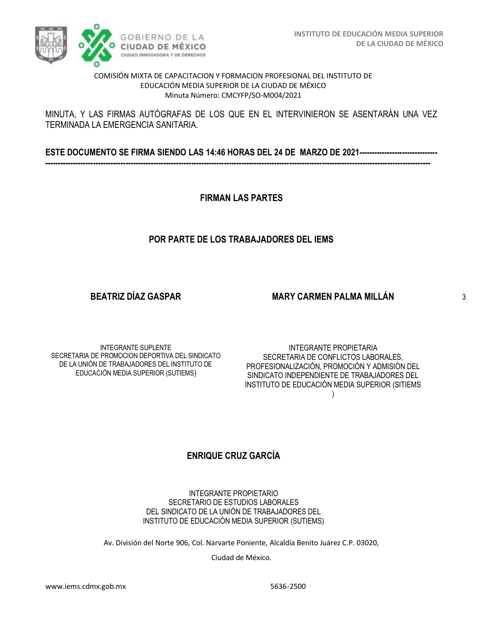

#### COMISIÓN MIXTA DE CAPACITACION Y FORMACION PROFESIONAL DEL INSTITUTO DE EDUCACIÓN MEDIA SUPERIOR DE LA CIUDAD DE MÉXICO Minuta Número: CMCYFP/SO-M004/2021

### MINUTA, Y LAS FIRMAS AUTÓGRAFAS DE LOS QUE EN EL INTERVINIERON SE ASENTARÁN UNA VEZ TERMINADA LA EMERGENCIA SANITARIA.

**ESTE DOCUMENTO SE FIRMA SIENDO LAS 14:46 HORAS DEL 24 DE MARZO DE 2021------------------------------- ---------------------------------------------------------------------------------------------------------------------------------------------------------**

**FIRMAN LAS PARTES**

# **POR PARTE DE LOS TRABAJADORES DEL IEMS**

**BEATRIZ DÍAZ GASPAR**

## **MARY CARMEN PALMA MILLÁN**

INTEGRANTE SUPLENTE SECRETARIA DE PROMOCION DEPORTIVA DEL SINDICATO DE LA UNIÓN DE TRABAJADORES DEL INSTITUTO DE EDUCACIÓN MEDIA SUPERIOR (SUTIEMS)

INTEGRANTE PROPIETARIA SECRETARIA DE CONFLICTOS LABORALES, PROFESIONALIZACIÓN, PROMOCIÓN Y ADMISIÓN DEL SINDICATO INDEPENDIENTE DE TRABAJADORES DEL INSTITUTO DE EDUCACIÓN MEDIA SUPERIOR (SITIEMS )

# **ENRIQUE CRUZ GARCÍA**

INTEGRANTE PROPIETARIO SECRETARIO DE ESTUDIOS LABORALES DEL SINDICATO DE LA UNIÓN DE TRABAJADORES DEL INSTITUTO DE EDUCACIÓN MEDIA SUPERIOR (SUTIEMS)

Av. División del Norte 906, Col. Narvarte Poniente, Alcaldía Benito Juárez C.P. 03020,

Ciudad de México.